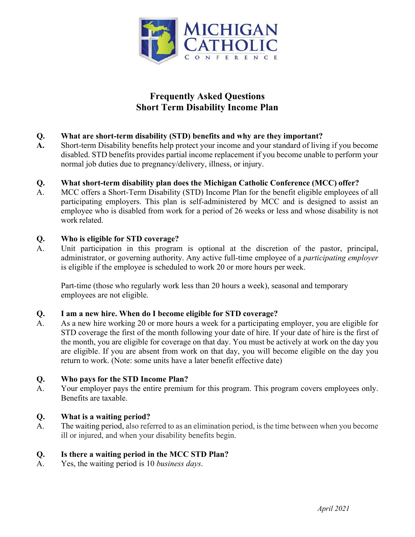

# **Frequently Asked Questions Short Term Disability Income Plan**

### **Q. What are short-term disability (STD) benefits and why are they important?**

**A.** Short-term Disability benefits help protect your income and your standard of living if you become disabled. STD benefits provides partial income replacement if you become unable to perform your normal job duties due to pregnancy/delivery, illness, or injury.

#### **Q. What short-term disability plan does the Michigan Catholic Conference (MCC) offer?**

A. MCC offers a Short-Term Disability (STD) Income Plan for the benefit eligible employees of all participating employers. This plan is self-administered by MCC and is designed to assist an employee who is disabled from work for a period of 26 weeks or less and whose disability is not work related.

#### **Q. Who is eligible for STD coverage?**

A. Unit participation in this program is optional at the discretion of the pastor, principal, administrator, or governing authority. Any active full-time employee of a *participating employer*  is eligible if the employee is scheduled to work 20 or more hours per week.

Part-time (those who regularly work less than 20 hours a week), seasonal and temporary employees are not eligible.

#### **Q. I am a new hire. When do I become eligible for STD coverage?**

A. As a new hire working 20 or more hours a week for a participating employer, you are eligible for STD coverage the first of the month following your date of hire. If your date of hire is the first of the month, you are eligible for coverage on that day. You must be actively at work on the day you are eligible. If you are absent from work on that day, you will become eligible on the day you return to work. (Note: some units have a later benefit effective date)

#### **Q. Who pays for the STD Income Plan?**

A. Your employer pays the entire premium for this program. This program covers employees only. Benefits are taxable.

#### **Q. What is a waiting period?**

A. The waiting period, also referred to as an elimination period, is the time between when you become ill or injured, and when your disability benefits begin.

#### **Q. Is there a waiting period in the MCC STD Plan?**

A. Yes, the waiting period is 10 *business days*.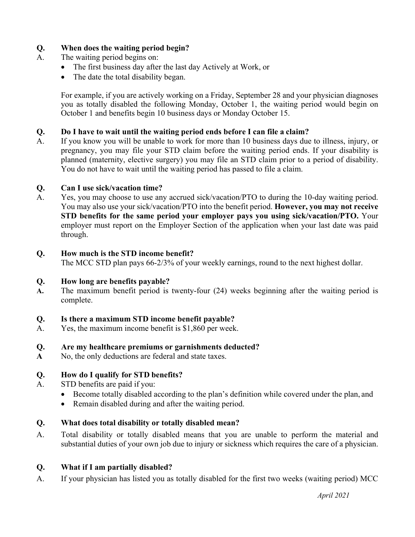### **Q. When does the waiting period begin?**

- A. The waiting period begins on:
	- The first business day after the last day Actively at Work, or
	- The date the total disability began.

For example, if you are actively working on a Friday, September 28 and your physician diagnoses you as totally disabled the following Monday, October 1, the waiting period would begin on October 1 and benefits begin 10 business days or Monday October 15.

#### **Q. Do I have to wait until the waiting period ends before I can file a claim?**

A. If you know you will be unable to work for more than 10 business days due to illness, injury, or pregnancy, you may file your STD claim before the waiting period ends. If your disability is planned (maternity, elective surgery) you may file an STD claim prior to a period of disability. You do not have to wait until the waiting period has passed to file a claim.

#### **Q. Can I use sick/vacation time?**

A. Yes, you may choose to use any accrued sick/vacation/PTO to during the 10-day waiting period. You may also use your sick/vacation/PTO into the benefit period. **However, you may not receive STD benefits for the same period your employer pays you using sick/vacation/PTO.** Your employer must report on the Employer Section of the application when your last date was paid through.

#### **Q. How much is the STD income benefit?**

The MCC STD plan pays 66-2/3% of your weekly earnings, round to the next highest dollar.

#### **Q. How long are benefits payable?**

**A.** The maximum benefit period is twenty-four (24) weeks beginning after the waiting period is complete.

#### **Q. Is there a maximum STD income benefit payable?**

A. Yes, the maximum income benefit is \$1,860 per week.

#### **Q. Are my healthcare premiums or garnishments deducted?**

**A** No, the only deductions are federal and state taxes.

#### **Q. How do I qualify for STD benefits?**

- A. STD benefits are paid if you:
	- Become totally disabled according to the plan's definition while covered under the plan, and
	- Remain disabled during and after the waiting period.

#### **Q. What does total disability or totally disabled mean?**

A. Total disability or totally disabled means that you are unable to perform the material and substantial duties of your own job due to injury or sickness which requires the care of a physician.

#### **Q. What if I am partially disabled?**

A. If your physician has listed you as totally disabled for the first two weeks (waiting period) MCC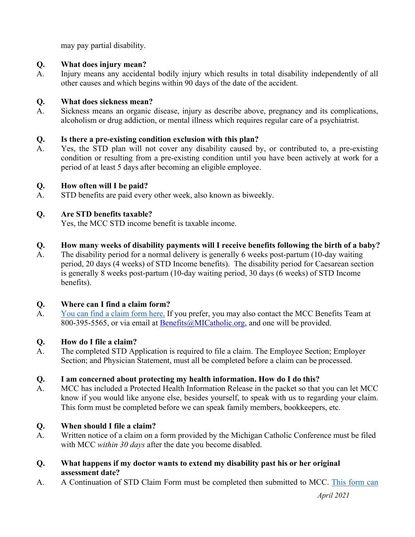may pay partial disability.

### **Q. What does injury mean?**

A. Injury means any accidental bodily injury which results in total disability independently of all other causes and which begins within 90 days of the date of the accident.

### **Q. What does sickness mean?**

A. Sickness means an organic disease, injury as describe above, pregnancy and its complications, alcoholism or drug addiction, or mental illness which requires regular care of a psychiatrist.

# **Q. Is there a pre-existing condition exclusion with this plan?**

A. Yes, the STD plan will not cover any disability caused by, or contributed to, a pre-existing condition or resulting from a pre-existing condition until you have been actively at work for a period of at least 5 days after becoming an eligible employee.

### **Q. How often will I be paid?**

A. STD benefits are paid every other week, also known as biweekly.

### **Q. Are STD benefits taxable?**

Yes, the MCC STD income benefit is taxable income.

### **Q. How many weeks of disability payments will I receive benefits following the birth of a baby?**

A. The disability period for a normal delivery is generally 6 weeks post-partum (10-day waiting period, 20 days (4 weeks) of STD Income benefits). The disability period for Caesarean section is generally 8 weeks post-partum (10-day waiting period, 30 days (6 weeks) of STD Income benefits).

#### **Q. Where can I find a claim form?**

A. You can find a claim form here. If you prefer, you may also contact the MCC Benefits Team at 800-395-5565, or via email at Benefits@MICatholic.org, and one will be provided.

# **Q. How do I file a claim?**

A. The completed STD Application is required to file a claim. The Employee Section; Employer Section; and Physician Statement, must all be completed before a claim can be processed.

# **Q. I am concerned about protecting my health information. How do I do this?**

A. MCC has included a Protected Health Information Release in the packet so that you can let MCC know if you would like anyone else, besides yourself, to speak with us to regarding your claim. This form must be completed before we can speak family members, bookkeepers, etc.

# **Q. When should I file a claim?**

- A. Written notice of a claim on a form provided by the Michigan Catholic Conference must be filed with MCC *within 30 days* after the date you become disabled.
- **Q. What happens if my doctor wants to extend my disability past his or her original assessment date?**
- A. A Continuation of STD Claim Form must be completed then submitted to MCC. This form can